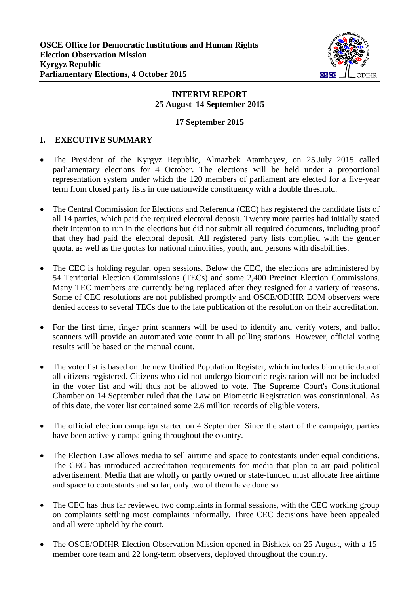

# **INTERIM REPORT 25 August–14 September 2015**

#### **17 September 2015**

# **I. EXECUTIVE SUMMARY**

- The President of the Kyrgyz Republic, Almazbek Atambayev, on 25 July 2015 called parliamentary elections for 4 October. The elections will be held under a proportional representation system under which the 120 members of parliament are elected for a five-year term from closed party lists in one nationwide constituency with a double threshold.
- The Central Commission for Elections and Referenda (CEC) has registered the candidate lists of all 14 parties, which paid the required electoral deposit. Twenty more parties had initially stated their intention to run in the elections but did not submit all required documents, including proof that they had paid the electoral deposit. All registered party lists complied with the gender quota, as well as the quotas for national minorities, youth, and persons with disabilities.
- The CEC is holding regular, open sessions. Below the CEC, the elections are administered by 54 Territorial Election Commissions (TECs) and some 2,400 Precinct Election Commissions. Many TEC members are currently being replaced after they resigned for a variety of reasons. Some of CEC resolutions are not published promptly and OSCE/ODIHR EOM observers were denied access to several TECs due to the late publication of the resolution on their accreditation.
- For the first time, finger print scanners will be used to identify and verify voters, and ballot scanners will provide an automated vote count in all polling stations. However, official voting results will be based on the manual count.
- The voter list is based on the new Unified Population Register, which includes biometric data of all citizens registered. Citizens who did not undergo biometric registration will not be included in the voter list and will thus not be allowed to vote. The Supreme Court's Constitutional Chamber on 14 September ruled that the Law on Biometric Registration was constitutional. As of this date, the voter list contained some 2.6 million records of eligible voters.
- The official election campaign started on 4 September. Since the start of the campaign, parties have been actively campaigning throughout the country.
- The Election Law allows media to sell airtime and space to contestants under equal conditions. The CEC has introduced accreditation requirements for media that plan to air paid political advertisement. Media that are wholly or partly owned or state-funded must allocate free airtime and space to contestants and so far, only two of them have done so.
- The CEC has thus far reviewed two complaints in formal sessions, with the CEC working group on complaints settling most complaints informally. Three CEC decisions have been appealed and all were upheld by the court.
- The OSCE/ODIHR Election Observation Mission opened in Bishkek on 25 August, with a 15 member core team and 22 long-term observers, deployed throughout the country.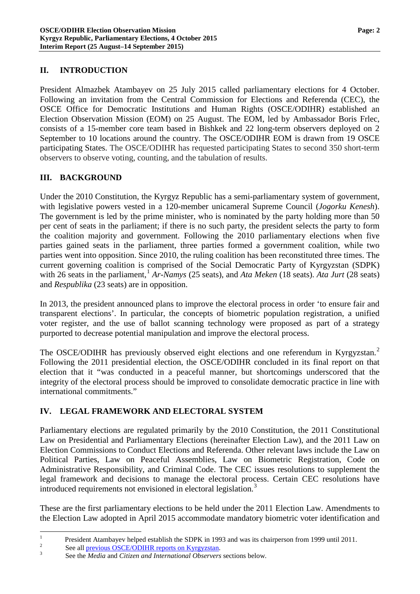#### **II. INTRODUCTION**

President Almazbek Atambayev on 25 July 2015 called parliamentary elections for 4 October. Following an invitation from the Central Commission for Elections and Referenda (CEC), the OSCE Office for Democratic Institutions and Human Rights (OSCE/ODIHR) established an Election Observation Mission (EOM) on 25 August. The EOM, led by Ambassador Boris Frlec, consists of a 15-member core team based in Bishkek and 22 long-term observers deployed on 2 September to 10 locations around the country. The OSCE/ODIHR EOM is drawn from 19 OSCE participating States. The OSCE/ODIHR has requested participating States to second 350 short-term observers to observe voting, counting, and the tabulation of results.

### **III. BACKGROUND**

Under the 2010 Constitution, the Kyrgyz Republic has a semi-parliamentary system of government, with legislative powers vested in a 120-member unicameral Supreme Council (*Jogorku Kenesh*). The government is led by the prime minister, who is nominated by the party holding more than 50 per cent of seats in the parliament; if there is no such party, the president selects the party to form the coalition majority and government. Following the 2010 parliamentary elections when five parties gained seats in the parliament, three parties formed a government coalition, while two parties went into opposition. Since 2010, the ruling coalition has been reconstituted three times. The current governing coalition is comprised of the Social Democratic Party of Kyrgyzstan (SDPK) with 26 seats in the parliament, [1](#page-1-0) *Ar-Namys* (25 seats), and *Ata Meken* (18 seats). *Ata Jurt* (28 seats) and *Respublika* (23 seats) are in opposition.

In 2013, the president announced plans to improve the electoral process in order 'to ensure fair and transparent elections'. In particular, the concepts of biometric population registration, a unified voter register, and the use of ballot scanning technology were proposed as part of a strategy purported to decrease potential manipulation and improve the electoral process.

The OSCE/ODIHR has previously observed eight elections and one referendum in Kyrgyzstan.<sup>[2](#page-1-1)</sup> Following the 2011 presidential election, the OSCE/ODIHR concluded in its final report on that election that it "was conducted in a peaceful manner, but shortcomings underscored that the integrity of the electoral process should be improved to consolidate democratic practice in line with international commitments."

# **IV. LEGAL FRAMEWORK AND ELECTORAL SYSTEM**

Parliamentary elections are regulated primarily by the 2010 Constitution, the 2011 Constitutional Law on Presidential and Parliamentary Elections (hereinafter Election Law), and the 2011 Law on Election Commissions to Conduct Elections and Referenda. Other relevant laws include the Law on Political Parties, Law on Peaceful Assemblies, Law on Biometric Registration, Code on Administrative Responsibility, and Criminal Code. The CEC issues resolutions to supplement the legal framework and decisions to manage the electoral process. Certain CEC resolutions have introduced requirements not envisioned in electoral legislation.<sup>[3](#page-1-2)</sup>

These are the first parliamentary elections to be held under the 2011 Election Law. Amendments to the Election Law adopted in April 2015 accommodate mandatory biometric voter identification and

<span id="page-1-0"></span>President Atambayev helped establish the SDPK in 1993 and was its chairperson from 1999 until 2011.<br>
See all [previous OSCE/ODIHR reports on Kyrgyzstan.](http://www.osce.org/odihr/elections/kyrgyzstan)<br>
See the *Media* and *Citizen and International Observers* sections be

<span id="page-1-1"></span>

<span id="page-1-2"></span>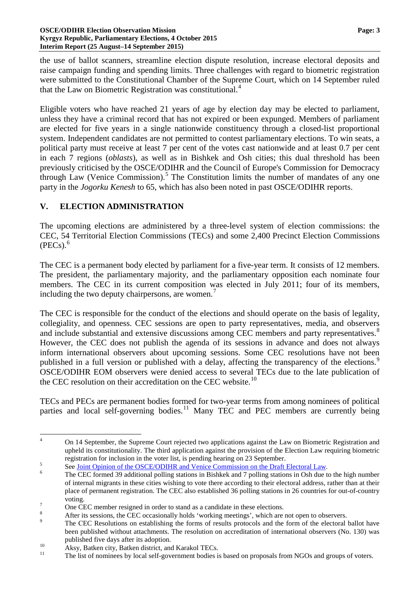#### **OSCE/ODIHR Election Observation Mission Page: 3 Kyrgyz Republic, Parliamentary Elections, 4 October 2015 Interim Report (25 August–14 September 2015)**

the use of ballot scanners, streamline election dispute resolution, increase electoral deposits and raise campaign funding and spending limits. Three challenges with regard to biometric registration were submitted to the Constitutional Chamber of the Supreme Court, which on 14 September ruled that the Law on Biometric Registration was constitutional.<sup>[4](#page-2-0)</sup>

Eligible voters who have reached 21 years of age by election day may be elected to parliament, unless they have a criminal record that has not expired or been expunged. Members of parliament are elected for five years in a single nationwide constituency through a closed-list proportional system. Independent candidates are not permitted to contest parliamentary elections. To win seats, a political party must receive at least 7 per cent of the votes cast nationwide and at least 0.7 per cent in each 7 regions (*oblasts*), as well as in Bishkek and Osh cities; this dual threshold has been previously criticised by the OSCE/ODIHR and the Council of Europe's Commission for Democracy through Law (Venice Commission). [5](#page-2-1) The Constitution limits the number of mandates of any one party in the *Jogorku Kenesh* to 65, which has also been noted in past OSCE/ODIHR reports.

# **V. ELECTION ADMINISTRATION**

The upcoming elections are administered by a three-level system of election commissions: the CEC, 54 Territorial Election Commissions (TECs) and some 2,400 Precinct Election Commissions  $(PECs)<sup>6</sup>$  $(PECs)<sup>6</sup>$  $(PECs)<sup>6</sup>$ 

The CEC is a permanent body elected by parliament for a five-year term. It consists of 12 members. The president, the parliamentary majority, and the parliamentary opposition each nominate four members. The CEC in its current composition was elected in July 2011; four of its members, including the two deputy chairpersons, are women.<sup>[7](#page-2-3)</sup>

The CEC is responsible for the conduct of the elections and should operate on the basis of legality, collegiality, and openness. CEC sessions are open to party representatives, media, and observers and include substantial and extensive discussions among CEC members and party representatives.<sup>[8](#page-2-4)</sup> However, the CEC does not publish the agenda of its sessions in advance and does not always inform international observers about upcoming sessions. Some CEC resolutions have not been published in a full version or published with a delay, affecting the transparency of the elections.<sup>[9](#page-2-5)</sup> OSCE/ODIHR EOM observers were denied access to several TECs due to the late publication of the CEC resolution on their accreditation on the CEC website.<sup>[10](#page-2-6)</sup>

TECs and PECs are permanent bodies formed for two-year terms from among nominees of political parties and local self-governing bodies.<sup>[11](#page-2-7)</sup> Many TEC and PEC members are currently being

<span id="page-2-0"></span><sup>&</sup>lt;sup>4</sup> On 14 September, the Supreme Court rejected two applications against the Law on Biometric Registration and upheld its constitutionality. The third application against the provision of the Election Law requiring biometric registration for inclusion in the voter list, is pending hearing on 23 September.<br>
See <u>Joint Opinion of the OSCE/ODIHR and Venice Commission on the Draft Electoral Law</u>.<br>
The CEC formed 39 additional polling stations in B

<span id="page-2-2"></span><span id="page-2-1"></span>of internal migrants in these cities wishing to vote there according to their electoral address, rather than at their place of permanent registration. The CEC also established 36 polling stations in 26 countries for out-of-country voting.<br>
One CEC member resigned in order to stand as a candidate in these elections.<br>
<sup>8</sup><br>
After its sessions, the CEC occasionally holds 'working meetings', which are not open to observers.<br>
<sup>9</sup><br>
The CEC Resolutions on e

<span id="page-2-4"></span><span id="page-2-3"></span>

<span id="page-2-5"></span>been published without attachments. The resolution on accreditation of international observers (No. 130) was published five days after its adoption.<br>
<sup>10</sup> Aksy, Batken city, Batken district, and Karakol TECs.<br>
<sup>11</sup> The list of nominees by local self-government bodies is based on proposals from NGOs and groups of voters.

<span id="page-2-6"></span>

<span id="page-2-7"></span>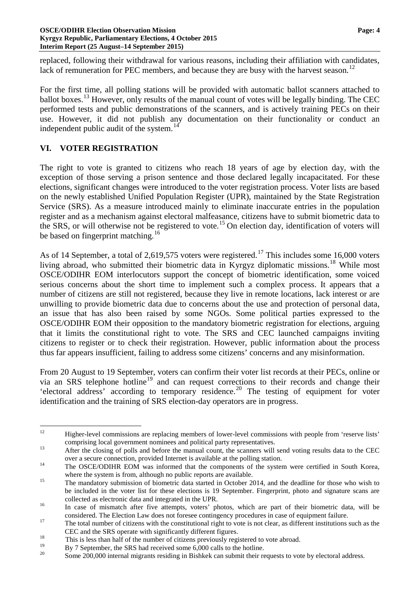replaced, following their withdrawal for various reasons, including their affiliation with candidates, lack of remuneration for PEC members, and because they are busy with the harvest season.<sup>[12](#page-3-0)</sup>

For the first time, all polling stations will be provided with automatic ballot scanners attached to ballot boxes.<sup>[13](#page-3-1)</sup> However, only results of the manual count of votes will be legally binding. The CEC performed tests and public demonstrations of the scanners, and is actively training PECs on their use. However, it did not publish any documentation on their functionality or conduct an independent public audit of the system.<sup>[14](#page-3-2)</sup>

#### **VI. VOTER REGISTRATION**

The right to vote is granted to citizens who reach 18 years of age by election day, with the exception of those serving a prison sentence and those declared legally incapacitated. For these elections, significant changes were introduced to the voter registration process. Voter lists are based on the newly established Unified Population Register (UPR), maintained by the State Registration Service (SRS). As a measure introduced mainly to eliminate inaccurate entries in the population register and as a mechanism against electoral malfeasance, citizens have to submit biometric data to the SRS, or will otherwise not be registered to vote.[15](#page-3-3) On election day, identification of voters will be based on fingerprint matching.<sup>[16](#page-3-4)</sup>

As of 14 September, a total of 2,619,575 voters were registered.<sup>[17](#page-3-5)</sup> This includes some 16,000 voters living abroad, who submitted their biometric data in Kyrgyz diplomatic missions.<sup>[18](#page-3-6)</sup> While most OSCE/ODIHR EOM interlocutors support the concept of biometric identification, some voiced serious concerns about the short time to implement such a complex process. It appears that a number of citizens are still not registered, because they live in remote locations, lack interest or are unwilling to provide biometric data due to concerns about the use and protection of personal data, an issue that has also been raised by some NGOs. Some political parties expressed to the OSCE/ODIHR EOM their opposition to the mandatory biometric registration for elections, arguing that it limits the constitutional right to vote. The SRS and CEC launched campaigns inviting citizens to register or to check their registration. However, public information about the process thus far appears insufficient, failing to address some citizens' concerns and any misinformation.

From 20 August to 19 September, voters can confirm their voter list records at their PECs, online or via an SRS telephone hotline<sup>[19](#page-3-7)</sup> and can request corrections to their records and change their 'electoral address' according to temporary residence.<sup>[20](#page-3-8)</sup> The testing of equipment for voter identification and the training of SRS election-day operators are in progress.

<span id="page-3-0"></span><sup>&</sup>lt;sup>12</sup> Higher-level commissions are replacing members of lower-level commissions with people from 'reserve lists'

<span id="page-3-1"></span>comprising local government nominees and political party representatives.<br><sup>13</sup> After the closing of polls and before the manual count, the scanners will send voting results data to the CEC

<span id="page-3-2"></span>over a secure connection, provided Internet is available at the polling station.<br><sup>14</sup> The OSCE/ODIHR EOM was informed that the components of the system were certified in South Korea, where the system is from, although no public reports are available.<br><sup>15</sup> The mandatory submission of biometric data started in October 2014, and the deadline for those who wish to

<span id="page-3-3"></span>be included in the voter list for these elections is 19 September. Fingerprint, photo and signature scans are

collected as electronic data and integrated in the UPR.<br>In case of mismatch after five attempts, voters' photos, which are part of their biometric data, will be

<span id="page-3-4"></span>considered. The Election Law does not foresee contingency procedures in case of equipment failure.<br>17 The total number of citizens with the constitutional right to vote is not clear, as different institutions such as the

<span id="page-3-5"></span>CEC and the SRS operate with significantly different figures.<br>
This is less than half of the number of citizens previously registered to vote abroad.<br>  $\frac{19}{2}$ 

<span id="page-3-8"></span><span id="page-3-7"></span><span id="page-3-6"></span><sup>&</sup>lt;sup>19</sup> By 7 September, the SRS had received some 6,000 calls to the hotline.<br><sup>20</sup> Some 200,000 internal migrants residing in Bishkek can submit their requests to vote by electoral address.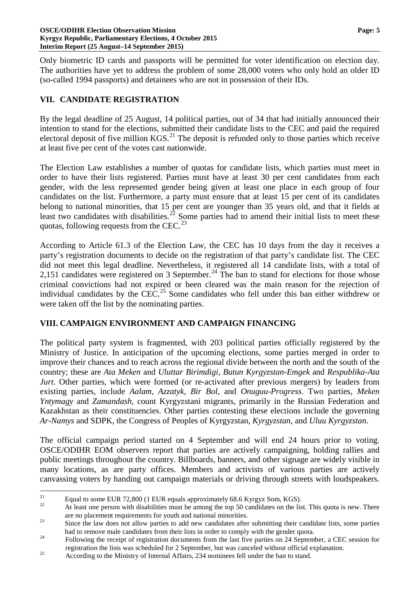Only biometric ID cards and passports will be permitted for voter identification on election day. The authorities have yet to address the problem of some 28,000 voters who only hold an older ID (so-called 1994 passports) and detainees who are not in possession of their IDs.

# **VII. CANDIDATE REGISTRATION**

By the legal deadline of 25 August, 14 political parties, out of 34 that had initially announced their intention to stand for the elections, submitted their candidate lists to the CEC and paid the required electoral deposit of five million  $KGS$ <sup>[21](#page-4-0)</sup>. The deposit is refunded only to those parties which receive at least five per cent of the votes cast nationwide.

The Election Law establishes a number of quotas for candidate lists, which parties must meet in order to have their lists registered. Parties must have at least 30 per cent candidates from each gender, with the less represented gender being given at least one place in each group of four candidates on the list. Furthermore, a party must ensure that at least 15 per cent of its candidates belong to national minorities, that 15 per cent are younger than 35 years old, and that it fields at least two candidates with disabilities.<sup>[22](#page-4-1)</sup> Some parties had to amend their initial lists to meet these quotas, following requests from the CEC.<sup>[23](#page-4-2)</sup>

According to Article 61.3 of the Election Law, the CEC has 10 days from the day it receives a party's registration documents to decide on the registration of that party's candidate list. The CEC did not meet this legal deadline. Nevertheless, it registered all 14 candidate lists, with a total of 2,151 candidates were registered on 3 September.<sup>[24](#page-4-3)</sup> The ban to stand for elections for those whose criminal convictions had not expired or been cleared was the main reason for the rejection of individual candidates by the  $CEC<sup>25</sup>$  $CEC<sup>25</sup>$  $CEC<sup>25</sup>$  Some candidates who fell under this ban either withdrew or were taken off the list by the nominating parties.

# **VIII. CAMPAIGN ENVIRONMENT AND CAMPAIGN FINANCING**

The political party system is fragmented, with 203 political parties officially registered by the Ministry of Justice. In anticipation of the upcoming elections, some parties merged in order to improve their chances and to reach across the regional divide between the north and the south of the country; these are *Ata Meken* and *Uluttar Birimdigi*, *Butun Kyrgyzstan-Emgek* and *Respublika-Ata Jurt.* Other parties, which were formed (or re-activated after previous mergers) by leaders from existing parties, include *Aalam, Azzatyk, Bir Bol*, and *Onuguu-Progress*. Two parties, *Meken Yntymagy* and *Zamandash*, count Kyrgyzstani migrants, primarily in the Russian Federation and Kazakhstan as their constituencies. Other parties contesting these elections include the governing *Ar-Namys* and SDPK, the Congress of Peoples of Kyrgyzstan, *Kyrgyzstan*, and *Uluu Kyrgyzstan*.

The official campaign period started on 4 September and will end 24 hours prior to voting. OSCE/ODIHR EOM observers report that parties are actively campaigning, holding rallies and public meetings throughout the country. Billboards, banners, and other signage are widely visible in many locations, as are party offices. Members and activists of various parties are actively canvassing voters by handing out campaign materials or driving through streets with loudspeakers.

<span id="page-4-1"></span><span id="page-4-0"></span><sup>&</sup>lt;sup>21</sup> Equal to some EUR 72,800 (1 EUR equals approximately 68.6 Kyrgyz Som, KGS).<br><sup>22</sup> At least one person with disabilities must be among the top 50 candidates on the list. This quota is new. There are no placement requirements for youth and national minorities.<br><sup>23</sup> Since the law does not allow parties to add new candidates after submitting their candidate lists, some parties

<span id="page-4-2"></span>had to remove male candidates from their lists in order to comply with the gender quota.<br><sup>24</sup> Following the receipt of registration documents from the last five parties on 24 September, a CEC session for

<span id="page-4-3"></span>registration the lists was scheduled for 2 September, but was canceled without official explanation. <sup>25</sup> According to the Ministry of Internal Affairs, 234 nominees fell under the ban to stand.

<span id="page-4-4"></span>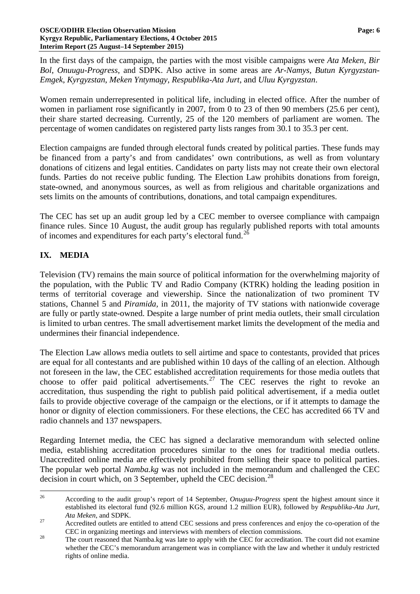In the first days of the campaign, the parties with the most visible campaigns were *Ata Meken, Bir Bol*, *Onuugu-Progress,* and SDPK. Also active in some areas are *Ar-Namys, Butun Kyrgyzstan-Emgek*, *Kyrgyzstan*, *Meken Yntymagy*, *Respublika-Ata Jurt*, and *Uluu Kyrgyzstan*.

Women remain underrepresented in political life, including in elected office. After the number of women in parliament rose significantly in 2007, from 0 to 23 of then 90 members (25.6 per cent), their share started decreasing. Currently, 25 of the 120 members of parliament are women. The percentage of women candidates on registered party lists ranges from 30.1 to 35.3 per cent.

Election campaigns are funded through electoral funds created by political parties. These funds may be financed from a party's and from candidates' own contributions, as well as from voluntary donations of citizens and legal entities. Candidates on party lists may not create their own electoral funds. Parties do not receive public funding. The Election Law prohibits donations from foreign, state-owned, and anonymous sources, as well as from religious and charitable organizations and sets limits on the amounts of contributions, donations, and total campaign expenditures.

The CEC has set up an audit group led by a CEC member to oversee compliance with campaign finance rules. Since 10 August, the audit group has regularly published reports with total amounts of incomes and expenditures for each party's electoral fund.<sup>[26](#page-5-0)</sup>

# **IX. MEDIA**

Television (TV) remains the main source of political information for the overwhelming majority of the population, with the Public TV and Radio Company (KTRK) holding the leading position in terms of territorial coverage and viewership. Since the nationalization of two prominent TV stations, Channel 5 and *Piramida,* in 2011, the majority of TV stations with nationwide coverage are fully or partly state-owned. Despite a large number of print media outlets, their small circulation is limited to urban centres. The small advertisement market limits the development of the media and undermines their financial independence.

The Election Law allows media outlets to sell airtime and space to contestants, provided that prices are equal for all contestants and are published within 10 days of the calling of an election. Although not foreseen in the law, the CEC established accreditation requirements for those media outlets that choose to offer paid political advertisements.<sup>[27](#page-5-1)</sup> The CEC reserves the right to revoke an accreditation, thus suspending the right to publish paid political advertisement, if a media outlet fails to provide objective coverage of the campaign or the elections, or if it attempts to damage the honor or dignity of election commissioners. For these elections, the CEC has accredited 66 TV and radio channels and 137 newspapers.

Regarding Internet media, the CEC has signed a declarative memorandum with selected online media, establishing accreditation procedures similar to the ones for traditional media outlets. Unaccredited online media are effectively prohibited from selling their space to political parties. The popular web portal *Namba.kg* was not included in the memorandum and challenged the CEC decision in court which, on 3 September, upheld the CEC decision.<sup>[28](#page-5-2)</sup>

<span id="page-5-0"></span> <sup>26</sup> According to the audit group's report of 14 September, *Onuguu-Progress* spent the highest amount since it established its electoral fund (92.6 million KGS, around 1.2 million EUR), followed by *Respublika-Ata Jurt*, *Ata Meken*, and SDPK.<br><sup>27</sup> Accredited outlets are entitled to attend CEC sessions and press conferences and enjoy the co-operation of the

<span id="page-5-2"></span><span id="page-5-1"></span>CEC in organizing meetings and interviews with members of election commissions.<br><sup>28</sup> The court reasoned that Namba.kg was late to apply with the CEC for accreditation. The court did not examine whether the CEC's memorandum arrangement was in compliance with the law and whether it unduly restricted rights of online media.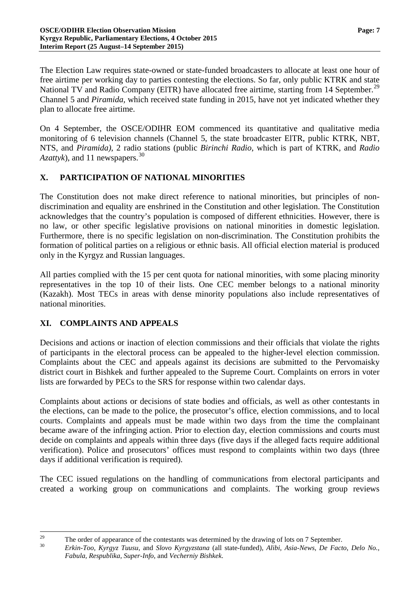The Election Law requires state-owned or state-funded broadcasters to allocate at least one hour of free airtime per working day to parties contesting the elections. So far, only public KTRK and state National TV and Radio Company (EITR) have allocated free airtime, starting from 14 September.<sup>[29](#page-6-0)</sup> Channel 5 and *Piramida,* which received state funding in 2015, have not yet indicated whether they plan to allocate free airtime.

On 4 September, the OSCE/ODIHR EOM commenced its quantitative and qualitative media monitoring of 6 television channels (Channel 5, the state broadcaster ElTR, public KTRK, NBT, NTS, and *Piramida)*, 2 radio stations (public *Birinchi Radio*, which is part of KTRK, and *Radio Azattyk*), and 11 newspapers.<sup>[30](#page-6-1)</sup>

# **X. PARTICIPATION OF NATIONAL MINORITIES**

The Constitution does not make direct reference to national minorities, but principles of nondiscrimination and equality are enshrined in the Constitution and other legislation. The Constitution acknowledges that the country's population is composed of different ethnicities. However, there is no law, or other specific legislative provisions on national minorities in domestic legislation. Furthermore, there is no specific legislation on non-discrimination. The Constitution prohibits the formation of political parties on a religious or ethnic basis. All official election material is produced only in the Kyrgyz and Russian languages.

All parties complied with the 15 per cent quota for national minorities, with some placing minority representatives in the top 10 of their lists. One CEC member belongs to a national minority (Kazakh). Most TECs in areas with dense minority populations also include representatives of national minorities.

# **XI. COMPLAINTS AND APPEALS**

Decisions and actions or inaction of election commissions and their officials that violate the rights of participants in the electoral process can be appealed to the higher-level election commission. Complaints about the CEC and appeals against its decisions are submitted to the Pervomaisky district court in Bishkek and further appealed to the Supreme Court. Complaints on errors in voter lists are forwarded by PECs to the SRS for response within two calendar days.

Complaints about actions or decisions of state bodies and officials, as well as other contestants in the elections, can be made to the police, the prosecutor's office, election commissions, and to local courts. Complaints and appeals must be made within two days from the time the complainant became aware of the infringing action. Prior to election day, election commissions and courts must decide on complaints and appeals within three days (five days if the alleged facts require additional verification). Police and prosecutors' offices must respond to complaints within two days (three days if additional verification is required).

The CEC issued regulations on the handling of communications from electoral participants and created a working group on communications and complaints. The working group reviews

<span id="page-6-1"></span><span id="page-6-0"></span><sup>&</sup>lt;sup>29</sup> The order of appearance of the contestants was determined by the drawing of lots on 7 September.<br><sup>30</sup> Erkin-Too, Kyrgyz Tuusu, and Slovo Kyrgyzstana (all state-funded), Alibi, Asia-News, De Facto, Delo No., *Fabula, Respublika*, *Super-Info*, and *Vecherniy Bishkek*.